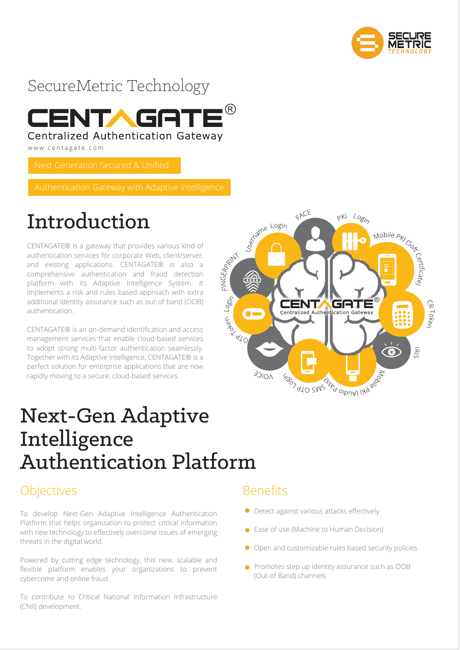



www.centagate.com

Next Generation Secured & Unified

# Introduction

CENTAGATE® is a gateway that provides various kind of authentication services for corporate Web, client/server, and existing applications. CENTAGATE® is also a comprehensive authentication and fraud detection platform with its Adaptive Intelligence System. It implements a risk and rules based approach with extra additional Identity assurance such as out-of band (OOB) authentication.

CENTAGATE® is an on-demand identification and access management services that enable cloud-based services to adopt strong multi-factor authentication seamlessly. Together with its Adaptive Intelligence, CENTAGATE® is a perfect solution for enterprise applications that are now rapidly moving to a secure, cloud-based services.



# Next-Gen Adaptive Intelligence Authentication Platform

### **Objectives**

To develop Next-Gen Adaptive Intelligence Authentication Platform that helps organization to protect critical information with new technology to effectively overcome issues of emerging threats in the digital world.

Powered by cutting edge technology, this new, scalable and flexible platform enables your organizations to prevent cybercrime and online fraud.

To contribute to Critical National Information Infrastructure (CNII) development.

### Benefits

- **•** Detect against various attacks effectively
- Ease of use (Machine to Human Decision)
- Open and customizable rules based security policies
- **•** Promotes step up identity assurance such as OOB (Out-of Band) channels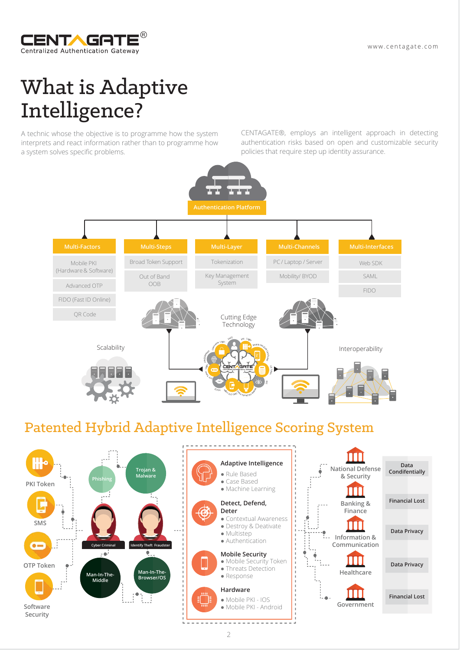

# What is Adaptive Intelligence?

A technic whose the objective is to programme how the system interprets and react information rather than to programme how a system solves specific problems.

CENTAGATE®, employs an intelligent approach in detecting authentication risks based on open and customizable security policies that require step up identity assurance.



## Patented Hybrid Adaptive Intelligence Scoring System

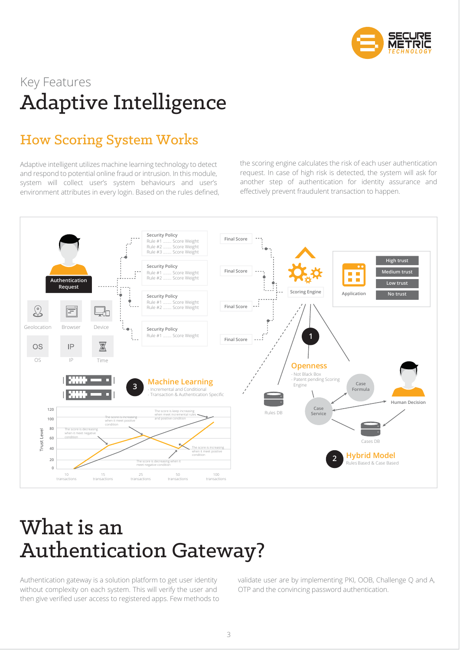

# Key Features Adaptive Intelligence

## How Scoring System Works

Adaptive intelligent utilizes machine learning technology to detect and respond to potential online fraud or intrusion. In this module, system will collect user's system behaviours and user's environment attributes in every login. Based on the rules defined, the scoring engine calculates the risk of each user authentication request. In case of high risk is detected, the system will ask for another step of authentication for identity assurance and effectively prevent fraudulent transaction to happen.



# What is an Authentication Gateway?

Authentication gateway is a solution platform to get user identity without complexity on each system. This will verify the user and then give verified user access to registered apps. Few methods to validate user are by implementing PKI, OOB, Challenge Q and A, OTP and the convincing password authentication.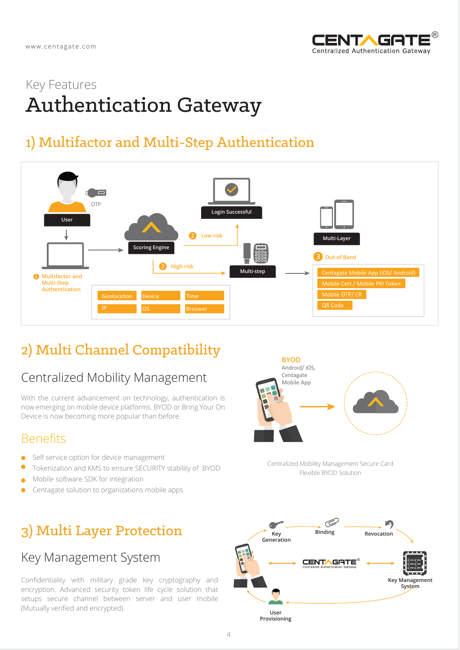

# Key Features Authentication Gateway

# 1) Multifactor and Multi-Step Authentication



# 2) Multi Channel Compatibility

### Centralized Mobility Management

With the current advancement on technology, authentication is now emerging on mobile device platforms. BYOD or Bring Your On Device is now becoming more popular than before.

### **Benefits**

- Self service option for device management ٠
- $\bullet$ Tokenization and KMS to ensure SECURITY stability of BYOD
- Mobile software SDK for integration  $\blacktriangle$
- Centagate solution to organizations mobile apps  $\bullet$

## 3) Multi Layer Protection

### Key Management System

Confidentiality with military grade key cryptography and encryption. Advanced security token life cycle solution that setups secure channel between server and user mobile (Mutually verified and encrypted).



Centralized Mobility Management Secure Card Flexible BYOD Solution

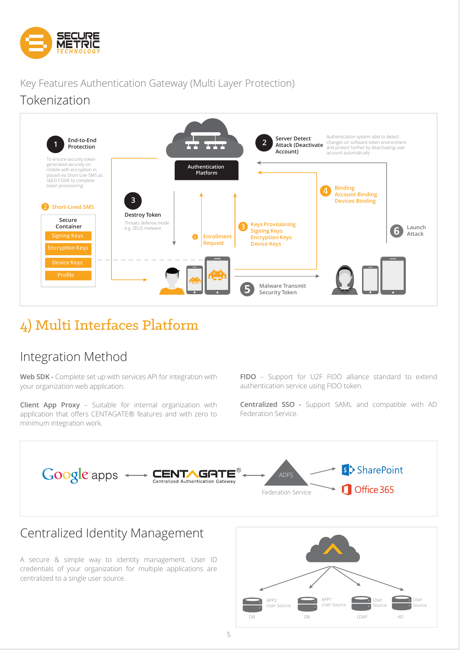

### Key Features Authentication Gateway (Multi Layer Protection) Tokenization



## 4) Multi Interfaces Platform

### Integration Method

**Web SDK -** Complete set up with services API for integration with your organization web application.

**Client App Proxy** – Suitable for internal organization with application that offers CENTAGATE® features and with zero to minimum integration work.

**FIDO** – Support for U2F FIDO alliance standard to extend authentication service using FIDO token.

**Centralized SSO -** Support SAML and compatible with AD Federation Service.



A secure & simple way to identity management. User ID credentials of your organization for multiple applications are centralized to a single user source.